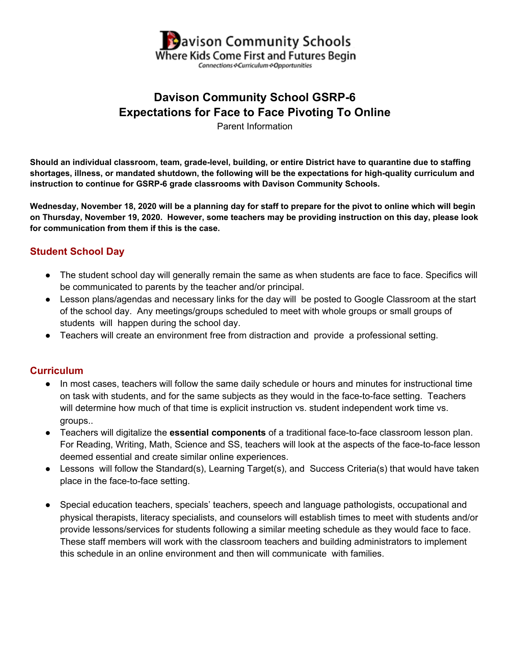

# **Davison Community School GSRP-6 Expectations for Face to Face Pivoting To Online**

Parent Information

Should an individual classroom, team, grade-level, building, or entire District have to quarantine due to staffing **shortages, illness, or mandated shutdown, the following will be the expectations for high-quality curriculum and instruction to continue for GSRP-6 grade classrooms with Davison Community Schools.**

Wednesday, November 18, 2020 will be a planning day for staff to prepare for the pivot to online which will begin on Thursday, November 19, 2020. However, some teachers may be providing instruction on this day, please look **for communication from them if this is the case.**

## **Student School Day**

- The student school day will generally remain the same as when students are face to face. Specifics will be communicated to parents by the teacher and/or principal.
- Lesson plans/agendas and necessary links for the day will be posted to Google Classroom at the start of the school day. Any meetings/groups scheduled to meet with whole groups or small groups of students will happen during the school day.
- Teachers will create an environment free from distraction and provide a professional setting.

#### **Curriculum**

- In most cases, teachers will follow the same daily schedule or hours and minutes for instructional time on task with students, and for the same subjects as they would in the face-to-face setting. Teachers will determine how much of that time is explicit instruction vs. student independent work time vs. groups..
- Teachers will digitalize the **essential components** of a traditional face-to-face classroom lesson plan. For Reading, Writing, Math, Science and SS, teachers will look at the aspects of the face-to-face lesson deemed essential and create similar online experiences.
- Lessons will follow the Standard(s), Learning Target(s), and Success Criteria(s) that would have taken place in the face-to-face setting.
- Special education teachers, specials' teachers, speech and language pathologists, occupational and physical therapists, literacy specialists, and counselors will establish times to meet with students and/or provide lessons/services for students following a similar meeting schedule as they would face to face. These staff members will work with the classroom teachers and building administrators to implement this schedule in an online environment and then will communicate with families.